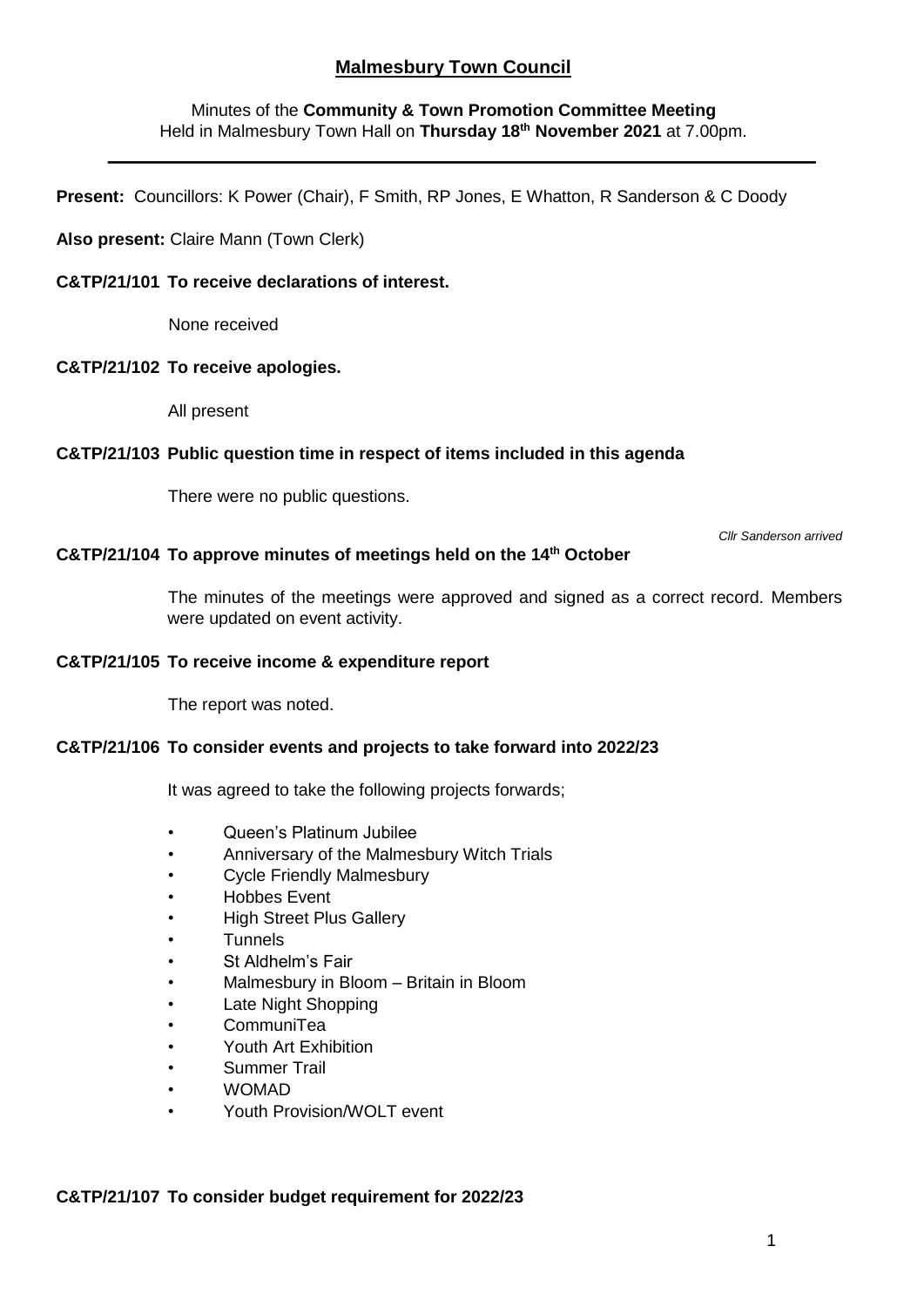# **Malmesbury Town Council**

## Minutes of the **Community & Town Promotion Committee Meeting** Held in Malmesbury Town Hall on **Thursday 18th November 2021** at 7.00pm.

**Present:** Councillors: K Power (Chair), F Smith, RP Jones, E Whatton, R Sanderson & C Doody

### **Also present:** Claire Mann (Town Clerk)

## **C&TP/21/101 To receive declarations of interest.**

None received

#### **C&TP/21/102 To receive apologies.**

All present

#### **C&TP/21/103 Public question time in respect of items included in this agenda**

There were no public questions.

*Cllr Sanderson arrived*

## **C&TP/21/104 To approve minutes of meetings held on the 14th October**

The minutes of the meetings were approved and signed as a correct record. Members were updated on event activity.

### **C&TP/21/105 To receive income & expenditure report**

The report was noted.

## **C&TP/21/106 To consider events and projects to take forward into 2022/23**

It was agreed to take the following projects forwards;

- Queen's Platinum Jubilee
- Anniversary of the Malmesbury Witch Trials
- Cycle Friendly Malmesbury
- Hobbes Event
- High Street Plus Gallery
- Tunnels
- St Aldhelm's Fair
- Malmesbury in Bloom Britain in Bloom
- Late Night Shopping
- CommuniTea
- Youth Art Exhibition
- Summer Trail
- WOMAD
- Youth Provision/WOLT event

#### **C&TP/21/107 To consider budget requirement for 2022/23**